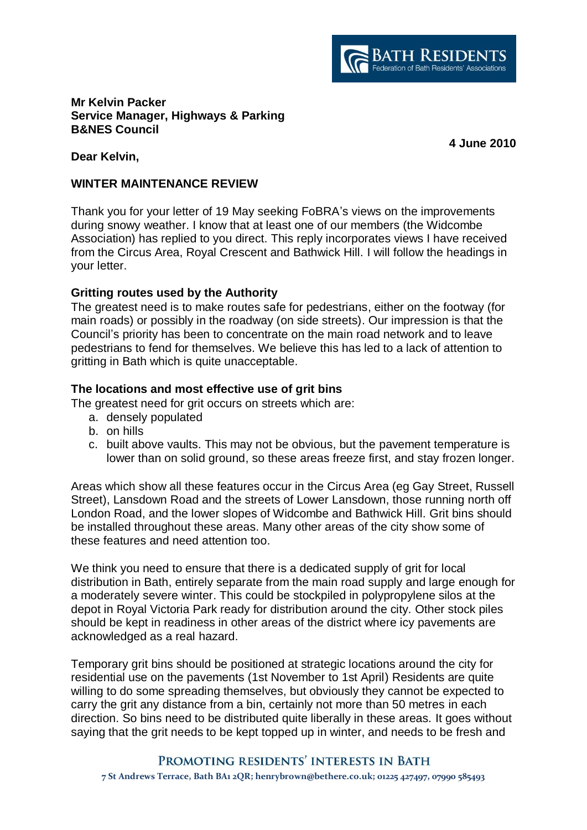

### **Mr Kelvin Packer Service Manager, Highways & Parking B&NES Council**

**4 June 2010**

**Dear Kelvin,** 

### **WINTER MAINTENANCE REVIEW**

Thank you for your letter of 19 May seeking FoBRA's views on the improvements during snowy weather. I know that at least one of our members (the Widcombe Association) has replied to you direct. This reply incorporates views I have received from the Circus Area, Royal Crescent and Bathwick Hill. I will follow the headings in your letter.

# **Gritting routes used by the Authority**

The greatest need is to make routes safe for pedestrians, either on the footway (for main roads) or possibly in the roadway (on side streets). Our impression is that the Council's priority has been to concentrate on the main road network and to leave pedestrians to fend for themselves. We believe this has led to a lack of attention to gritting in Bath which is quite unacceptable.

# **The locations and most effective use of grit bins**

The greatest need for grit occurs on streets which are:

- a. densely populated
- b. on hills
- c. built above vaults. This may not be obvious, but the pavement temperature is lower than on solid ground, so these areas freeze first, and stay frozen longer.

Areas which show all these features occur in the Circus Area (eg Gay Street, Russell Street), Lansdown Road and the streets of Lower Lansdown, those running north off London Road, and the lower slopes of Widcombe and Bathwick Hill. Grit bins should be installed throughout these areas. Many other areas of the city show some of these features and need attention too.

We think you need to ensure that there is a dedicated supply of grit for local distribution in Bath, entirely separate from the main road supply and large enough for a moderately severe winter. This could be stockpiled in polypropylene silos at the depot in Royal Victoria Park ready for distribution around the city. Other stock piles should be kept in readiness in other areas of the district where icy pavements are acknowledged as a real hazard.

Temporary grit bins should be positioned at strategic locations around the city for residential use on the pavements (1st November to 1st April) Residents are quite willing to do some spreading themselves, but obviously they cannot be expected to carry the grit any distance from a bin, certainly not more than 50 metres in each direction. So bins need to be distributed quite liberally in these areas. It goes without saying that the grit needs to be kept topped up in winter, and needs to be fresh and

#### PROMOTING RESIDENTS' INTERESTS IN BATH

**7 St Andrews Terrace, Bath BA1 2QR; henrybrown@bethere.co.uk; 01225 427497, 07990 585493**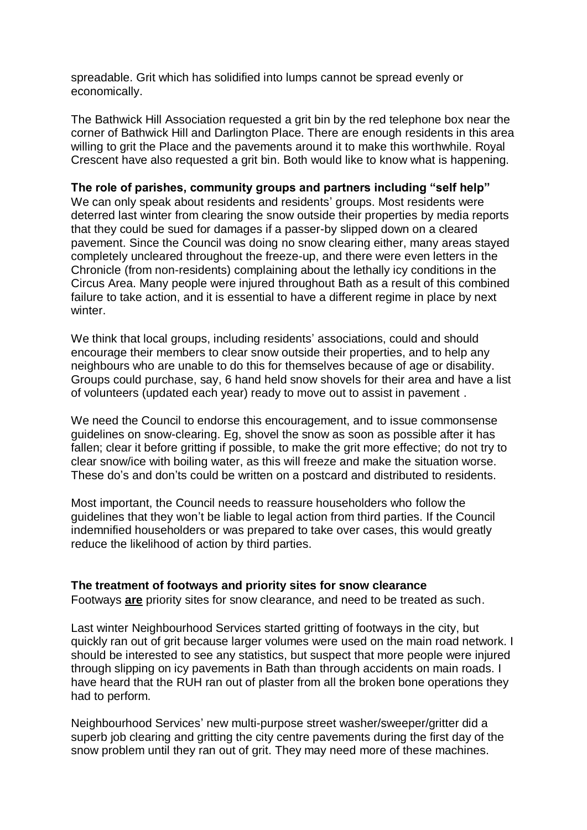spreadable. Grit which has solidified into lumps cannot be spread evenly or economically.

The Bathwick Hill Association requested a grit bin by the red telephone box near the corner of Bathwick Hill and Darlington Place. There are enough residents in this area willing to grit the Place and the pavements around it to make this worthwhile. Royal Crescent have also requested a grit bin. Both would like to know what is happening.

### **The role of parishes, community groups and partners including "self help"**

We can only speak about residents and residents' groups. Most residents were deterred last winter from clearing the snow outside their properties by media reports that they could be sued for damages if a passer-by slipped down on a cleared pavement. Since the Council was doing no snow clearing either, many areas stayed completely uncleared throughout the freeze-up, and there were even letters in the Chronicle (from non-residents) complaining about the lethally icy conditions in the Circus Area. Many people were injured throughout Bath as a result of this combined failure to take action, and it is essential to have a different regime in place by next winter.

We think that local groups, including residents' associations, could and should encourage their members to clear snow outside their properties, and to help any neighbours who are unable to do this for themselves because of age or disability. Groups could purchase, say, 6 hand held snow shovels for their area and have a list of volunteers (updated each year) ready to move out to assist in pavement .

We need the Council to endorse this encouragement, and to issue commonsense guidelines on snow-clearing. Eg, shovel the snow as soon as possible after it has fallen; clear it before gritting if possible, to make the grit more effective; do not try to clear snow/ice with boiling water, as this will freeze and make the situation worse. These do's and don'ts could be written on a postcard and distributed to residents.

Most important, the Council needs to reassure householders who follow the guidelines that they won't be liable to legal action from third parties. If the Council indemnified householders or was prepared to take over cases, this would greatly reduce the likelihood of action by third parties.

#### **The treatment of footways and priority sites for snow clearance**

Footways **are** priority sites for snow clearance, and need to be treated as such.

Last winter Neighbourhood Services started gritting of footways in the city, but quickly ran out of grit because larger volumes were used on the main road network. I should be interested to see any statistics, but suspect that more people were injured through slipping on icy pavements in Bath than through accidents on main roads. I have heard that the RUH ran out of plaster from all the broken bone operations they had to perform.

Neighbourhood Services' new multi-purpose street washer/sweeper/gritter did a superb job clearing and gritting the city centre pavements during the first day of the snow problem until they ran out of grit. They may need more of these machines.